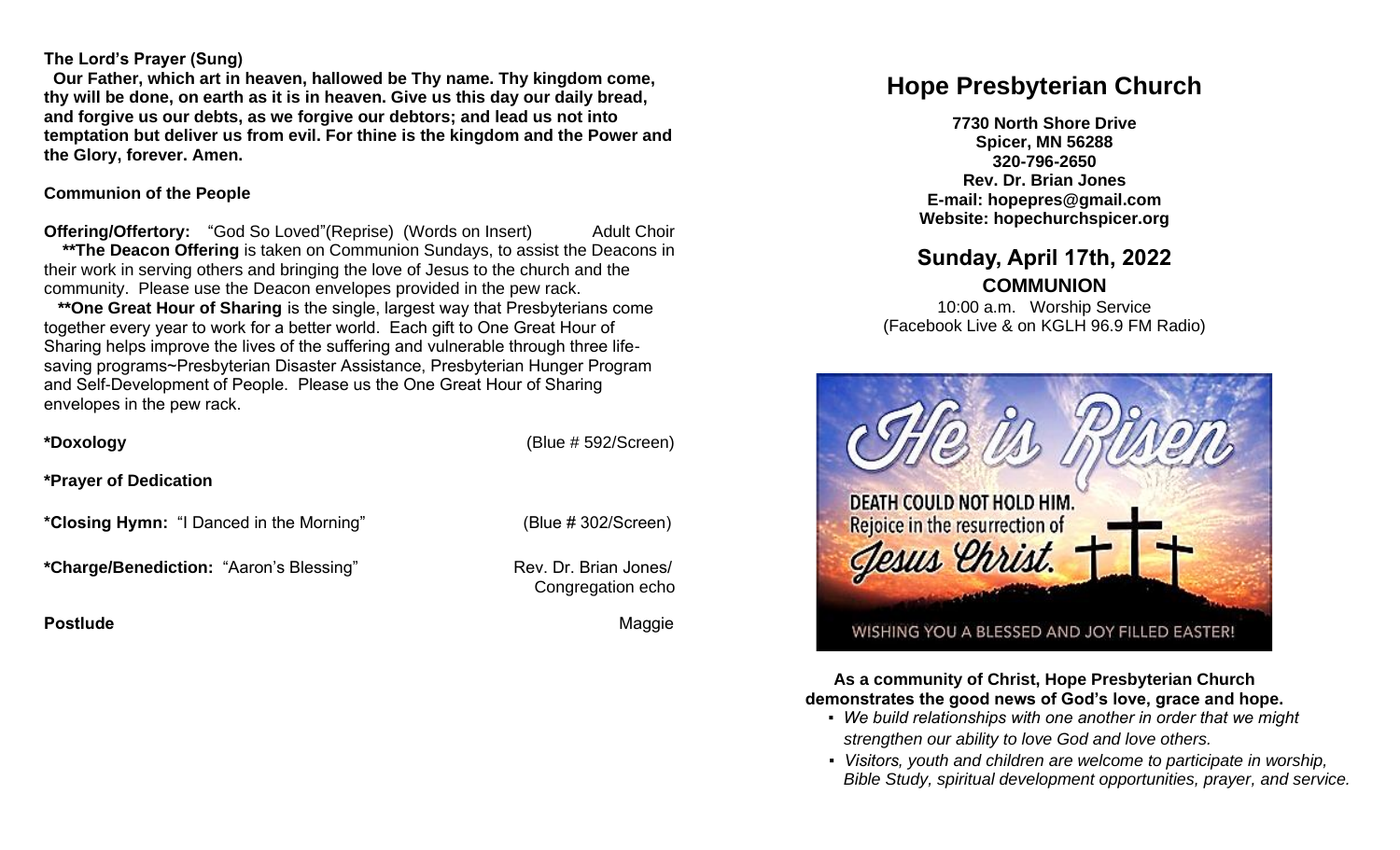#### **The Lord's Prayer (Sung)**

 **Our Father, which art in heaven, hallowed be Thy name. Thy kingdom come, thy will be done, on earth as it is in heaven. Give us this day our daily bread, and forgive us our debts, as we forgive our debtors; and lead us not into temptation but deliver us from evil. For thine is the kingdom and the Power and the Glory, forever. Amen.** 

#### **Communion of the People**

**Offering/Offertory:** "God So Loved"(Reprise) (Words on Insert) Adult Choir **\*\*The Deacon Offering** is taken on Communion Sundays, to assist the Deacons in their work in serving others and bringing the love of Jesus to the church and the community. Please use the Deacon envelopes provided in the pew rack.

 **\*\*One Great Hour of Sharing** is the single, largest way that Presbyterians come together every year to work for a better world. Each gift to One Great Hour of Sharing helps improve the lives of the suffering and vulnerable through three lifesaving programs~Presbyterian Disaster Assistance, Presbyterian Hunger Program and Self-Development of People. Please us the One Great Hour of Sharing envelopes in the pew rack.

**\*Doxology** (Blue # 592/Screen)

**\*Prayer of Dedication**

**\*Closing Hymn:** "I Danced in the Morning" (Blue # 302/Screen)

\*Charge/Benediction: "Aaron's Blessing" Rev. Dr. Brian Jones/

**Postlude Contract Contract Contract Contract Contract Contract Contract Contract Contract Contract Contract Contract Contract Contract Contract Contract Contract Contract Contract Contract Contract Contract Contract Contr** 

Congregation echo

# **Hope Presbyterian Church**

**7730 North Shore Drive Spicer, MN 56288 320-796-2650 Rev. Dr. Brian Jones E-mail: hopepres@gmail.com Website: hopechurchspicer.org**

## **Sunday, April 17th, 2022**

**COMMUNION**

10:00 a.m. Worship Service (Facebook Live & on KGLH 96.9 FM Radio)



**As a community of Christ, Hope Presbyterian Church demonstrates the good news of God's love, grace and hope.**

- *We build relationships with one another in order that we might strengthen our ability to love God and love others.*
- *Visitors, youth and children are welcome to participate in worship, Bible Study, spiritual development opportunities, prayer, and service.*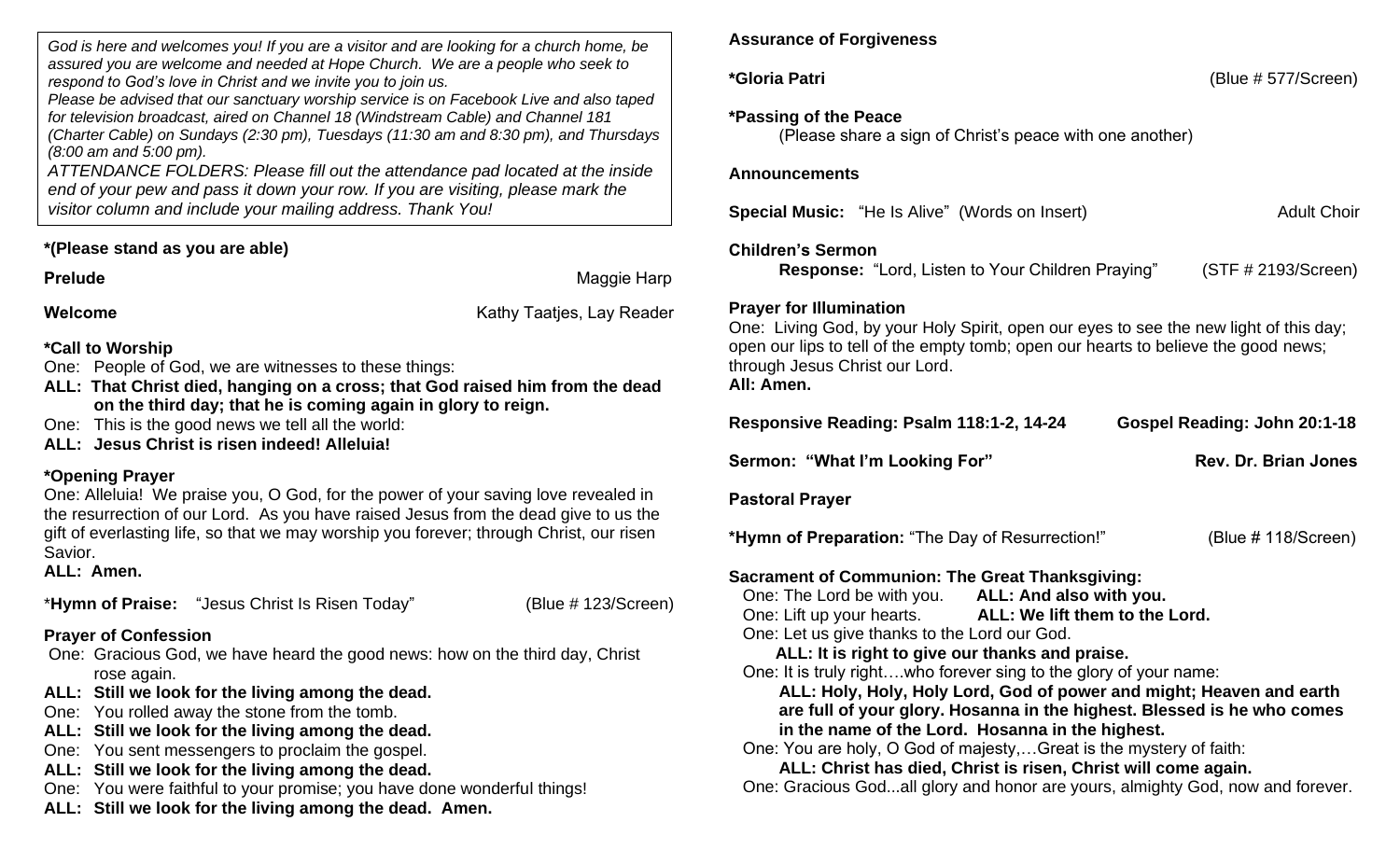*God is here and welcomes you! If you are a visitor and are looking for a church home, be assured you are welcome and needed at Hope Church. We are a people who seek to respond to God's love in Christ and we invite you to join us.*

*Please be advised that our sanctuary worship service is on Facebook Live and also taped for television broadcast, aired on Channel 18 (Windstream Cable) and Channel 181 (Charter Cable) on Sundays (2:30 pm), Tuesdays (11:30 am and 8:30 pm), and Thursdays (8:00 am and 5:00 pm).*

*ATTENDANCE FOLDERS: Please fill out the attendance pad located at the inside end of your pew and pass it down your row. If you are visiting, please mark the visitor column and include your mailing address. Thank You!*

#### **\*(Please stand as you are able)**

**Prelude Maggie Harp Contract Account Account Account Account Account Account Account Account Account Account Account Account Account Account Account Account Account Account Account Account Account Account Account Acco** 

**Welcome Welcome Kathy Taaties, Lay Reader Kathy Taaties**, Lay Reader

**\*Call to Worship**

- One: People of God, we are witnesses to these things:
- **ALL: That Christ died, hanging on a cross; that God raised him from the dead on the third day; that he is coming again in glory to reign.**
- One: This is the good news we tell all the world:
- **ALL: Jesus Christ is risen indeed! Alleluia!**

### **\*Opening Prayer**

One: Alleluia! We praise you, O God, for the power of your saving love revealed in the resurrection of our Lord. As you have raised Jesus from the dead give to us the gift of everlasting life, so that we may worship you forever; through Christ, our risen Savior.

**ALL: Amen.**

\***Hymn of Praise:** "Jesus Christ Is Risen Today" (Blue # 123/Screen)

### **Prayer of Confession**

- One: Gracious God, we have heard the good news: how on the third day, Christ rose again.
- **ALL: Still we look for the living among the dead.**
- One: You rolled away the stone from the tomb.
- **ALL: Still we look for the living among the dead.**
- One: You sent messengers to proclaim the gospel.
- **ALL: Still we look for the living among the dead.**
- One: You were faithful to your promise; you have done wonderful things!
- **ALL: Still we look for the living among the dead. Amen.**

### **Assurance of Forgiveness**

**\*Gloria Patri** (Blue # 577/Screen)

#### **\*Passing of the Peace**

(Please share a sign of Christ's peace with one another)

#### **Announcements**

**Special Music:** "He Is Alive" (Words on Insert) Adult Choir

#### **Children's Sermon**

**Response:** "Lord, Listen to Your Children Praying" (STF # 2193/Screen)

### **Prayer for Illumination**

One: Living God, by your Holy Spirit, open our eyes to see the new light of this day; open our lips to tell of the empty tomb; open our hearts to believe the good news; through Jesus Christ our Lord. **All: Amen.**

| Responsive Reading: Psalm 118:1-2, 14-24                          |  | Gospel Reading: John 20:1-18 |
|-------------------------------------------------------------------|--|------------------------------|
| Sermon: "What I'm Looking For"                                    |  | <b>Rev. Dr. Brian Jones</b>  |
| Pastoral Prayer                                                   |  |                              |
| *Hymn of Preparation: "The Day of Resurrection!"                  |  | (Blue # 118/Screen)          |
| Sacrament of Communion: The Great Thanksgiving:                   |  |                              |
| One: The Lord be with you. ALL: And also with you.                |  |                              |
| One: Lift up your hearts. ALL: We lift them to the Lord.          |  |                              |
| One: Let us give thanks to the Lord our God.                      |  |                              |
| ALL: It is right to give our thanks and praise.                   |  |                              |
| One: It is truly rightwho forever sing to the glory of your name: |  |                              |
|                                                                   |  |                              |

 **ALL: Holy, Holy, Holy Lord, God of power and might; Heaven and earth are full of your glory. Hosanna in the highest. Blessed is he who comes in the name of the Lord. Hosanna in the highest.**

One: You are holy, O God of majesty,…Great is the mystery of faith:

**ALL: Christ has died, Christ is risen, Christ will come again.**

One: Gracious God...all glory and honor are yours, almighty God, now and forever.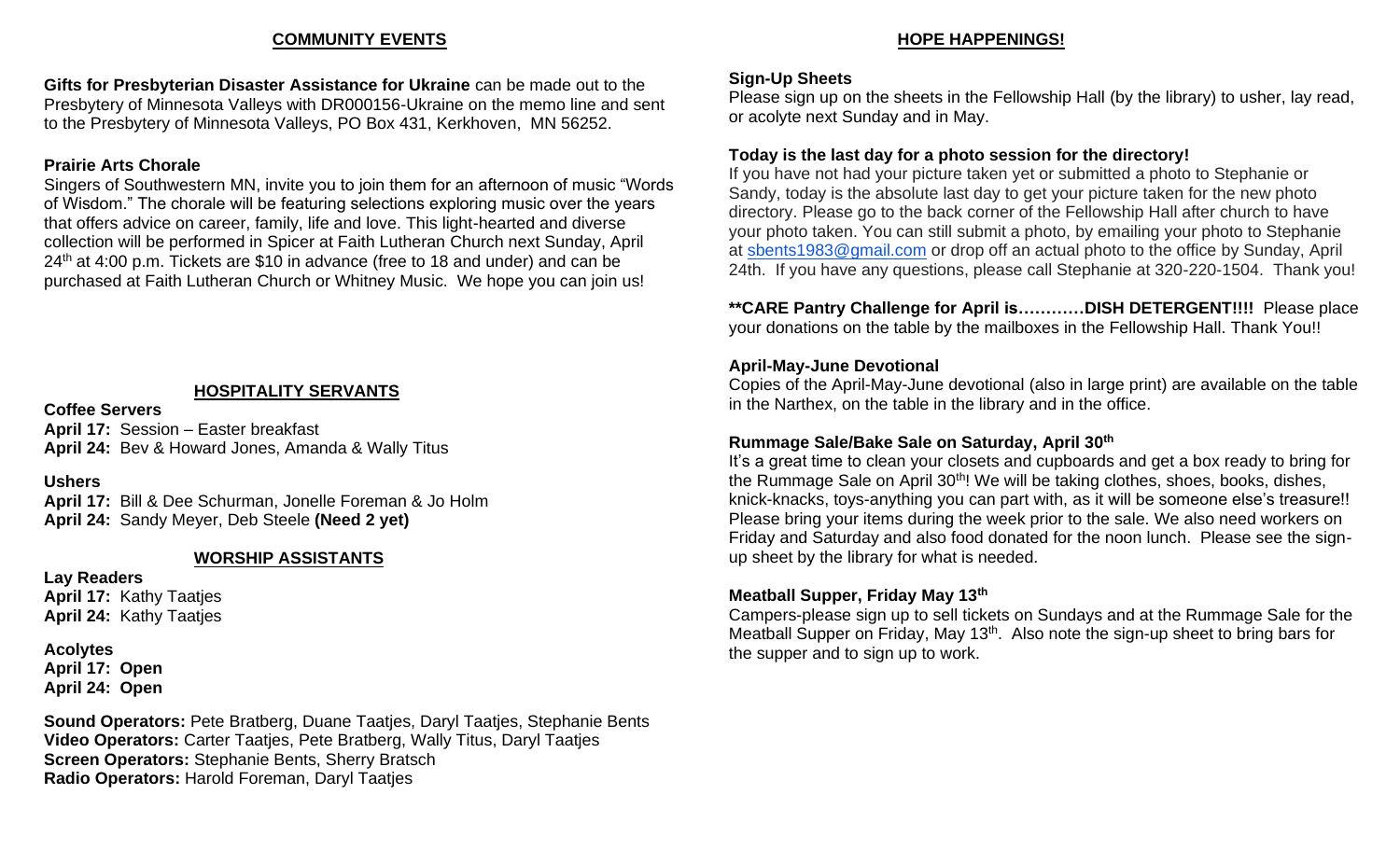#### **COMMUNITY EVENTS**

**Gifts for Presbyterian Disaster Assistance for Ukraine** can be made out to the Presbytery of Minnesota Valleys with DR000156-Ukraine on the memo line and sent to the Presbytery of Minnesota Valleys, PO Box 431, Kerkhoven, MN 56252.

#### **Prairie Arts Chorale**

Singers of Southwestern MN, invite you to join them for an afternoon of music "Words of Wisdom." The chorale will be featuring selections exploring music over the years that offers advice on career, family, life and love. This light-hearted and diverse collection will be performed in Spicer at Faith Lutheran Church next Sunday, April 24th at 4:00 p.m. Tickets are \$10 in advance (free to 18 and under) and can be purchased at Faith Lutheran Church or Whitney Music. We hope you can join us!

#### **HOSPITALITY SERVANTS**

**Coffee Servers April 17:** Session – Easter breakfast **April 24:** Bev & Howard Jones, Amanda & Wally Titus

**Ushers**

**April 17:** Bill & Dee Schurman, Jonelle Foreman & Jo Holm **April 24:** Sandy Meyer, Deb Steele **(Need 2 yet)**

#### **WORSHIP ASSISTANTS**

**Lay Readers April 17:** Kathy Taatjes **April 24:** Kathy Taatjes

**Acolytes April 17: Open April 24: Open**

**Sound Operators:** Pete Bratberg, Duane Taatjes, Daryl Taatjes, Stephanie Bents **Video Operators:** Carter Taatjes, Pete Bratberg, Wally Titus, Daryl Taatjes **Screen Operators:** Stephanie Bents, Sherry Bratsch **Radio Operators:** Harold Foreman, Daryl Taatjes

#### **HOPE HAPPENINGS!**

#### **Sign-Up Sheets**

Please sign up on the sheets in the Fellowship Hall (by the library) to usher, lay read, or acolyte next Sunday and in May.

#### **Today is the last day for a photo session for the directory!**

If you have not had your picture taken yet or submitted a photo to Stephanie or Sandy, today is the absolute last day to get your picture taken for the new photo directory. Please go to the back corner of the Fellowship Hall after church to have your photo taken. You can still submit a photo, by emailing your photo to Stephanie at [sbents1983@gmail.com](mailto:sbents1983@gmail.com) or drop off an actual photo to the office by Sunday, April 24th. If you have any questions, please call Stephanie at 320-220-1504. Thank you!

**\*\*CARE Pantry Challenge for April is…………DISH DETERGENT!!!!** Please place your donations on the table by the mailboxes in the Fellowship Hall. Thank You!!

#### **April-May-June Devotional**

Copies of the April-May-June devotional (also in large print) are available on the table in the Narthex, on the table in the library and in the office.

#### **Rummage Sale/Bake Sale on Saturday, April 30th**

It's a great time to clean your closets and cupboards and get a box ready to bring for the Rummage Sale on April 30<sup>th</sup>! We will be taking clothes, shoes, books, dishes, knick-knacks, toys-anything you can part with, as it will be someone else's treasure!! Please bring your items during the week prior to the sale. We also need workers on Friday and Saturday and also food donated for the noon lunch. Please see the signup sheet by the library for what is needed.

#### **Meatball Supper, Friday May 13th**

Campers-please sign up to sell tickets on Sundays and at the Rummage Sale for the Meatball Supper on Friday, May 13<sup>th</sup>. Also note the sign-up sheet to bring bars for the supper and to sign up to work.